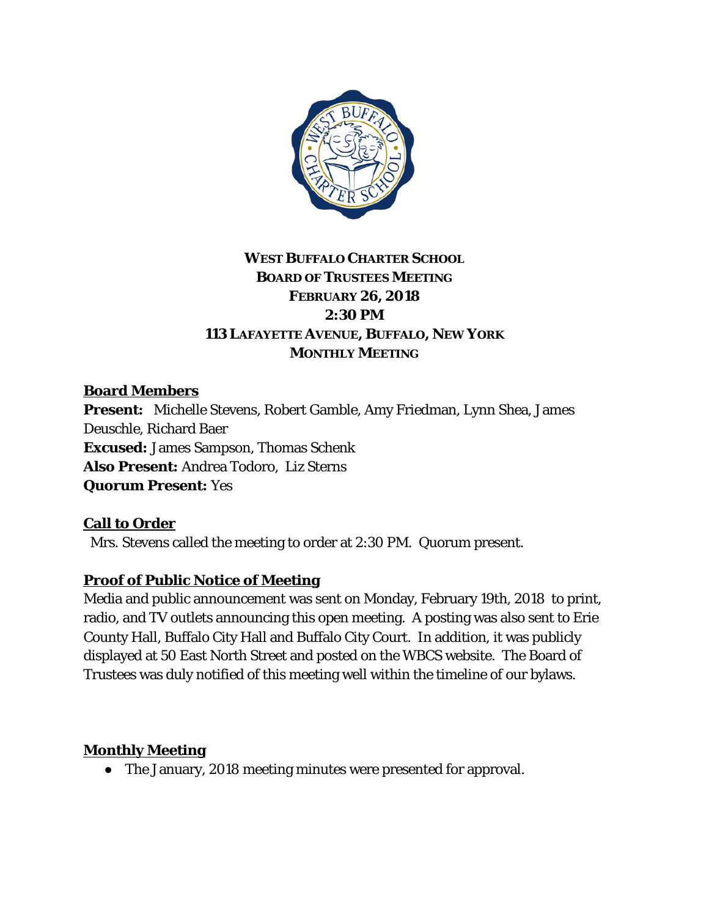

## **WEST BUFFALO CHARTER SCHOOL BOARD OF TRUSTEES MEETING FEBRUARY 26, 2018 2:30 PM 113 LAFAYETTE AVENUE, BUFFALO, NEW YORK MONTHLY MEETING**

### **Board Members**

**Present:** Michelle Stevens, Robert Gamble, Amy Friedman, Lynn Shea, James Deuschle, Richard Baer **Excused:** James Sampson, Thomas Schenk **Also Present:** Andrea Todoro, Liz Sterns **Quorum Present:** Yes

#### **Call to Order**

Mrs. Stevens called the meeting to order at 2:30 PM. Quorum present.

### **Proof of Public Notice of Meeting**

Media and public announcement was sent on Monday, February 19th, 2018 to print, radio, and TV outlets announcing this open meeting. A posting was also sent to Erie County Hall, Buffalo City Hall and Buffalo City Court. In addition, it was publicly displayed at 50 East North Street and posted on the WBCS website. The Board of Trustees was duly notified of this meeting well within the timeline of our bylaws.

### **Monthly Meeting**

● The January, 2018 meeting minutes were presented for approval.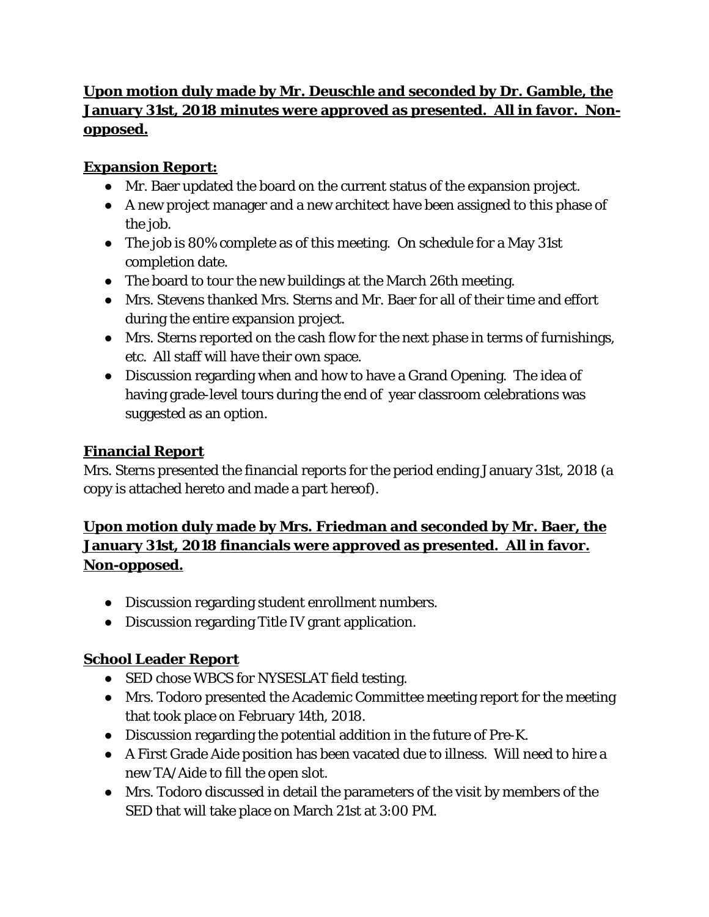## **Upon motion duly made by Mr. Deuschle and seconded by Dr. Gamble, the January 31st, 2018 minutes were approved as presented. All in favor. Nonopposed.**

## **Expansion Report:**

- Mr. Baer updated the board on the current status of the expansion project.
- A new project manager and a new architect have been assigned to this phase of the job.
- The job is 80% complete as of this meeting. On schedule for a May 31st completion date.
- The board to tour the new buildings at the March 26th meeting.
- Mrs. Stevens thanked Mrs. Sterns and Mr. Baer for all of their time and effort during the entire expansion project.
- Mrs. Sterns reported on the cash flow for the next phase in terms of furnishings, etc. All staff will have their own space.
- Discussion regarding when and how to have a Grand Opening. The idea of having grade-level tours during the end of year classroom celebrations was suggested as an option.

# **Financial Report**

Mrs. Sterns presented the financial reports for the period ending January 31st, 2018 (a copy is attached hereto and made a part hereof).

# **Upon motion duly made by Mrs. Friedman and seconded by Mr. Baer, the January 31st, 2018 financials were approved as presented. All in favor. Non-opposed.**

- Discussion regarding student enrollment numbers.
- Discussion regarding Title IV grant application.

# **School Leader Report**

- SED chose WBCS for NYSESLAT field testing.
- Mrs. Todoro presented the Academic Committee meeting report for the meeting that took place on February 14th, 2018.
- Discussion regarding the potential addition in the future of Pre-K.
- A First Grade Aide position has been vacated due to illness. Will need to hire a new TA/Aide to fill the open slot.
- Mrs. Todoro discussed in detail the parameters of the visit by members of the SED that will take place on March 21st at 3:00 PM.